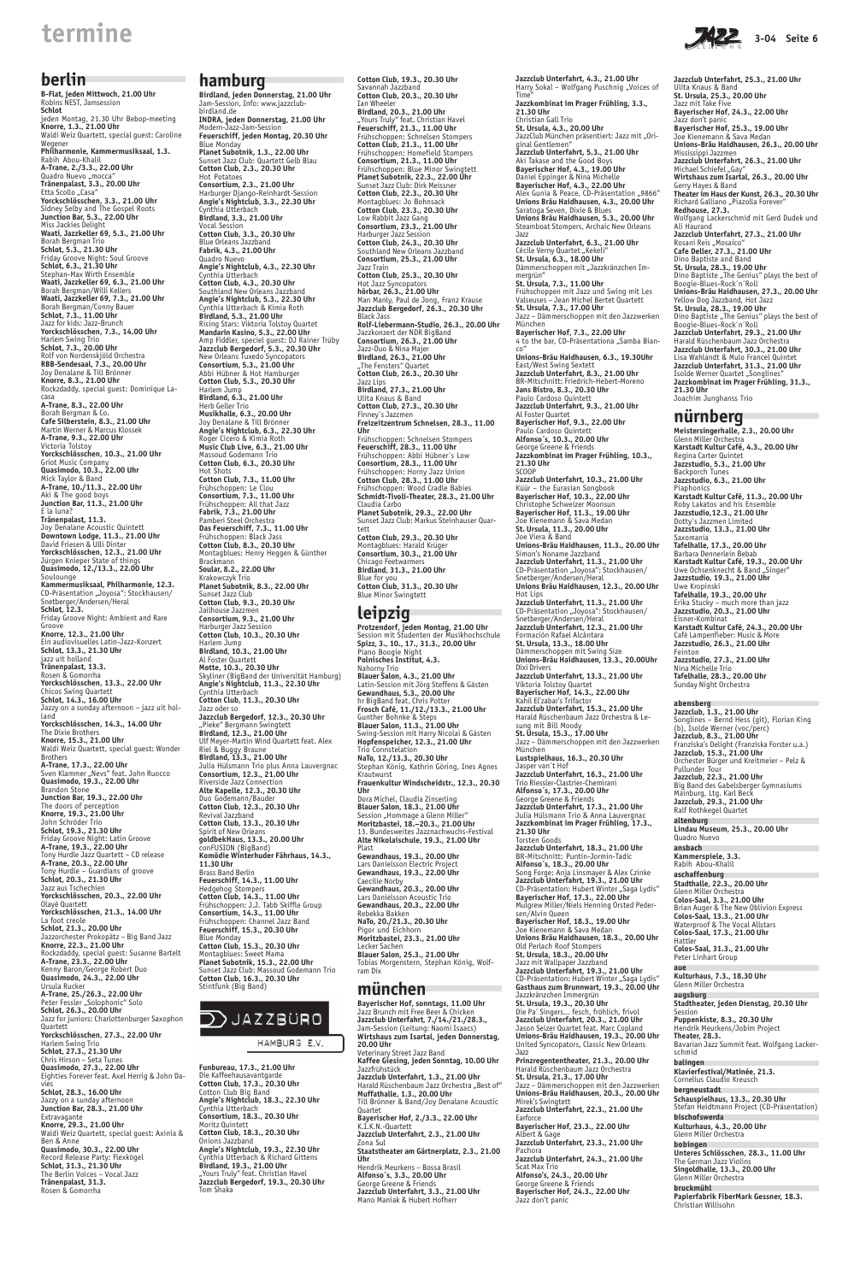## **berlin**

#### $\sim 10^{11}$ **hamburg**

**B-Flat, jeden Mittwoch, 21.00 Uhr** Robins NEST, Jamsession **Schlot** jeden Montag, 21.30 Uhr Bebop-meeting **Knorre, 1.3., 21.00 Uhr** Waldi Weiz Quartett, special guest: Caroline Wegener **Philharmonie, Kammermusiksaal, 1.3.** Rabih Abou-Khalil **A-Trane, 2./3.3., 22.00 Uhr** Quadro Nuevo "mocca" **Tränenpalast, 3.3., 20.00 Uhr** Etta Scollo "Casa" **Yorckschlösschen, 3.3., 21.00 Uhr** Sidney Selby and The Gospel Roots **Junction Bar, 5.3., 22.00 Uhr** Miss Jackies Delight **Waati, Jazzkeller 69, 5.3., 21.00 Uhr** Borah Bergman Trio **Schlot, 5.3., 21.30 Uhr** Friday Groove Night: Soul Groove **Schlot, 6.3., 21.30 Uhr** Stephan-Max Wirth Ensemble **Waati, Jazzkeller 69, 6.3., 21.00 Uhr** Borah Bergman/Willi Kellers **Waati, Jazzkeller 69, 7.3., 21.00 Uhr** Borah Bergman/Conny Bauer **Schlot, 7.3., 11.00 Uhr** Jazz for kids: Jazz-Brunch **Yorckschlösschen, 7.3., 14.00 Uhr** Harlem Swing Trio **Schlot, 7.3., 20.00 Uhr** Rolf von Nordenskjöld Orchestra **RBB-Sendesaal, 7.3., 20.00 Uhr** Joy Denalane & Till Brönner **Knorre, 8.3., 21.00 Uhr** Rockzdaddy, special guest: Dominique Lacasa **A-Trane, 8.3., 22.00 Uhr** Borah Bergman & Co. **Cafe Silberstein, 8.3., 21.00 Uhr** Martin Werner & Marcus Klossek **A-Trane, 9.3., 22.00 Uhr** Victoria Tolstoy **Yorckschlösschen, 10.3., 21.00 Uhr** Griot Music Company **Quasimodo, 10.3., 22.00 Uhr** Mick Taylor & Band **A-Trane, 10./11.3., 22.00 Uhr** Aki & The good boys **Junction Bar, 11.3., 21.00 Uhr** E la luna? **Tränenpalast, 11.3.** Joy Denalane Acoustic Quintett **Downtown Lodge, 11.3., 21.00 Uhr** David Friesen & Ulli Dinter **Yorckschlösschen, 12.3., 21.00 Uhr** Jürgen Knieper State of things **Quasimodo, 12./13.3., 22.00 Uhr** Soulounge **Kammermusiksaal, Philharmonie, 12.3.** CD-Präsentation "Joyosa": Stockhausen/ Snetberger/Andersen/Heral **Schlot, 12.3.** Friday Groove Night: Ambient and Rare Groove **Knorre, 12.3., 21.00 Uhr** Ein audiovisuelles Latin-Jazz-Konzert **Schlot, 13.3., 21.30 Uhr** jazz uit holland **Tränenpalast, 13.3.** Rosen & Gomorrha **Yorckschlösschen, 13.3., 22.00 Uhr** Chicos Swing Quartett **Schlot, 14.3., 16.00 Uhr** Jazzy on a sunday afternoon – jazz uit holland **Yorckschlösschen, 14.3., 14.00 Uhr** The Dixie Brothers **Knorre, 15.3., 21.00 Uhr** Waldi Weiz Quartett, special guest: Wonder Brothers **A-Trane, 17.3., 22.00 Uhr** Sven Klammer "Nevs" feat. John Ruocco **Quasimodo, 19.3., 22.00 Uhr** Brandon Stone **Junction Bar, 19.3., 22.00 Uhr** The doors of perception **Knorre, 19.3., 21.00 Uhr** John Schröder Trio **Schlot, 19.3., 21.30 Uhr** Friday Groove Night: Latin Groove **A-Trane, 19.3., 22.00 Uhr** Tony Hurdle Jazz Quartett – CD release **A-Trane, 20.3., 22.00 Uhr** Tony Hurdle – Guardians of groove **Schlot, 20.3., 21.30 Uhr** Jazz aus Tschechien **Yorckschlösschen, 20.3., 22.00 Uhr** Olayè Quartett **Yorckschlösschen, 21.3., 14.00 Uhr** La foot creole **Schlot, 21.3., 20.00 Uhr** Jazzorchester Prokopätz – Big Band Jazz **Knorre, 22.3., 21.00 Uhr** Rockzdaddy, special guest: Susanne Bartelt **A-Trane, 23.3., 22.00 Uhr** Kenny Baron/George Robert Duo **Quasimodo, 24.3., 22.00 Uhr** Ursula Rucker **A-Trane, 25./26.3., 22.00 Uhr** Peter Fessler "Solophonic" Solo **Schlot, 26.3., 20.00 Uhr** Jazz for juniors: Charlottenburger Saxophon Quartett **Yorckschlösschen, 27.3., 22.00 Uhr** Harlem Swing Trio **Schlot, 27.3., 21.30 Uhr** Chris Hirson – Seta Tunes **Quasimodo, 27.3., 22.00 Uhr** Eighties Forever feat. Axel Herrig & John Davies **Schlot, 28.3., 16.00 Uhr** Jazzy on a sunday afternoon **Junction Bar, 28.3., 21.00 Uhr** Extravagante **Knorre, 29.3., 21.00 Uhr** Waldi Weiz Quartett, special guest: Axinia & Ben & Anne **Quasimodo, 30.3., 22.00 Uhr** Record Release Party: Flexkögel **Schlot, 31.3., 21.30 Uhr** The Berlin Voices – Vocal Jazz **Tränenpalast, 31.3.** Rosen & Gomorrha

**Birdland, jeden Donnerstag, 21.00 Uhr** Jam-Session, Info: www.jazzclubbirdland.de **INDRA, jeden Donnerstag, 21.00 Uhr** Modern-Jazz-Jam-Session **Feuerschiff, jeden Montag, 20.30 Uhr** Blue Monday **Planet Subotnik, 1.3., 22.00 Uhr** Sunset Jazz Club: Quartett Gelb Blau **Cotton Club, 2.3., 20.30 Uhr** Hot Potatoes **Consortium, 2.3., 21.00 Uhr** Harburger Django-Reinhardt-Session **Angie's Nightclub, 3.3., 22.30 Uhr** Cynthia Utterbach **Birdland, 3.3., 21.00 Uhr** Vocal Session **Cotton Club, 3.3., 20.30 Uhr** Blue Orleans Jazzband **Fabrik, 4.3., 21.00 Uhr** Quadro Nuevo **Angie's Nightclub, 4.3., 22.30 Uhr** Cynthia Utterbach **Cotton Club, 4.3., 20.30 Uhr** Southland New Orleans Jazzband **Angie's Nightclub, 5.3., 22.30 Uhr** Cynthia Utterbach & Kimia Roth **Birdland, 5.3., 21.00 Uhr** Rising Stars: Viktoria Tolstoy Quartet **Mandarin Kasino, 5.3., 22.00 Uhr** Amp Fiddler, speciel guest: DJ Rainer Trüby **Jazzclub Bergedorf, 5.3., 20.30 Uhr** New Orleans Tuxedo Syncopators **Consortium, 5.3., 21.00 Uhr** Abbi Hübner & Hot Hamburger **Cotton Club, 5.3., 20.30 Uhr** Harlem Jump **Birdland, 6.3., 21.00 Uhr** Herb Geller Trio **Musikhalle, 6.3., 20.00 Uhr** Joy Denalane & Till Brönner **Angie's Nightclub, 6.3., 22.30 Uhr** Roger Cicero & Kimia Roth **Music Club Live, 6.3., 21.00 Uhr** Massoud Godemann Trio **Cotton Club, 6.3., 20.30 Uhr** Hot Shots **Cotton Club, 7.3., 11.00 Uhr** Frühschoppen: Le Clou **Consortium, 7.3., 11.00 Uhr** Frühschoppen: All that Jazz **Fabrik, 7.3., 21.00 Uhr** Pamberi Steel Orchestra **Das Feuerschiff, 7.3., 11.00 Uhr** Frühschoppen: Black Jass **Cotton Club, 8.3., 20.30 Uhr** Montagblues: Henry Heggen & Günther Brackmann **Soular, 8.2., 22.00 Uhr** Krakowczyk Trio **Planet Subotnik, 8.3., 22.00 Uhr** Sunset Jazz Club **Cotton Club, 9.3., 20.30 Uhr** Jailhouse Jazzmen **Consortium, 9.3., 21.00 Uhr** Harburger Jazz Session **Cotton Club, 10.3., 20.30 Uhr** Harlem Jump **Birdland, 10.3., 21.00 Uhr** Al Foster Quartett **Motte, 10.3., 20.30 Uhr** Skyliner (BigBand der Universität Hamburg) **Angie's Nightclub, 11.3., 22.30 Uhr** Cynthia Utterbach **Cotton Club, 11.3., 20.30 Uhr** Jazz oder so **Jazzclub Bergedorf, 12.3., 20.30 Uhr** "Pieke" Bergmann Swingtett **Birdland, 12.3., 21.00 Uhr** Ulf Meyer-Martin Wind Quartett feat. Alex Riel & Buggy Braune **Birdland, 13.3., 21.00 Uhr** Julia Hülsmann Trio plus Anna Lauvergnac **Consortium, 12.3., 21.00 Uhr** Riverside Jazz Connection **Alte Kapelle, 12.3., 20.30 Uhr** Duo Godemann/Bauder **Cotton Club, 12.3., 20.30 Uhr** Revival Jazzband **Cotton Club, 13.3., 20.30 Uhr** Spirit of New Orleans **goldbekHaus, 13.3., 20.00 Uhr** conFUSION (BigBand)

**Komödie Winterhuder Fährhaus, 14.3.,**

**11.30 Uhr**



HAMBURG E.V.

Brass Band Berlin **Feuerschiff, 14.3., 11.00 Uhr** Hedgehog Stompers **Cotton Club, 14.3., 11.00 Uhr** Frühschoppen: J.J. Tabb Skiffle Group **Consortium, 14.3., 11.00 Uhr** Frühschoppen: Channel Jazz Band **Feuerschiff, 15.3., 20.30 Uhr** Blue Monday **Cotton Club, 15.3., 20.30 Uhr** Montagblues: Sweet Mama **Planet Subotnik, 15.3., 22.00 Uhr** Sunset Jazz Club: Massoud Godemann Trio **Cotton Club, 16.3., 20.30 Uhr** Stintfunk (Big Band)

**Cotton Club, 19.3., 20.30 Uhr** Savannah Jazzband **Cotton Club, 20.3., 20.30 Uhr** Ian Wheeler **Birdland, 20.3., 21.00 Uhr** "Yours Truly" feat. Christian Havel **Feuerschiff, 21.3., 11.00 Uhr** Frühschoppen: Schnelsen Stompers **Cotton Club, 21.3., 11.00 Uhr** Frühschoppen: Homefield Stompers **Consortium, 21.3., 11.00 Uhr** Frühschoppen: Blue Minor Swingtett **Planet Subotnik, 22.3., 22.00 Uhr** Sunset Jazz Club: Dirk Meissner **Cotton Club, 22.3., 20.30 Uhr** Montagblues: Jo Bohnsack **Cotton Club, 23.3., 20.30 Uhr** Low Rabbit Jazz Gang **Consortium, 23.3., 21.00 Uhr** Harburger Jazz Session **Cotton Club, 24.3., 20.30 Uhr** Southland New Orleans Jazzband **Consortium, 25.3., 21.00 Uhr** Jazz Train **Cotton Club, 25.3., 20.30 Uhr** Hot Jazz Syncopators **hörbar, 26.3., 21.00 Uhr** Man Manly, Paul de Jong, Franz Krause **Jazzclub Bergedorf, 26.3., 20.30 Uhr** Black Jass **Rolf-Liebermann-Studio, 26.3., 20.00 Uhr** Jazzkonzert der NDR BigBand **Consortium, 26.3., 21.00 Uhr** Jazz-Duo & Nina Majer **Birdland, 26.3., 21.00 Uhr** "The Fensters" Quartet **Cotton Club, 26.3., 20.30 Uhr** Jazz Lips **Birdland, 27.3., 21.00 Uhr** Ulita Knaus & Band **Cotton Club, 27.3., 20.30 Uhr** Finney´s Jazzmen **Freizeitzentrum Schnelsen, 28.3., 11.00 Uhr** Frühschoppen: Schnelsen Stompers **Feuerschiff, 28.3., 11.00 Uhr** Frühschoppen: Abbi Hübner´s Low **Consortium, 28.3., 11.00 Uhr** Frühschoppen: Horny Jazz Union **Cotton Club, 28.3., 11.00 Uhr** Frühschoppen: Wood Cradle Babies **Schmidt-Tivoli-Theater, 28.3., 21.00 Uhr** Claudia Carbo **Planet Subotnik, 29.3., 22.00 Uhr** Sunset Jazz Club: Markus Steinhauser Quartett **Cotton Club, 29.3., 20.30 Uhr** Montagblues: Harald Krüger **Consortium, 30.3., 21.00 Uhr** Chicago Feetwarmers **Birdland, 31.3., 21.00 Uhr** Blue for you **Cotton Club, 31.3., 20.30 Uhr** Blue Minor Swingtett **leipzig Protzendorf, jeden Montag, 21.00 Uhr Spizz, 3., 10., 17., 31.3., 20.00 Uhr** Piano Boogie Night

> **Kammerspiele, 3.3.**  $Rahih$   $\Delta$

Session mit Studenten der Musikhochschule **Polnisches Institut, 4.3.** Nahorny Trio **Blauer Salon, 4.3., 21.00 Uhr** Latin-Session mit Jörg Steffens & Gästen **Gewandhaus, 5.3., 20.00 Uhr** hr BigBand feat. Chris Potter **Frosch Café, 11./12./13.3., 21.00 Uhr** Gunther Bohnke & Steps **Blauer Salon, 11.3., 21.00 Uhr** Swing-Session mit Harry Nicolai & Gästen **Hopfenspeicher, 12.3., 21.00 Uhr** Trio Connstelation **NaTo, 12./13.3., 20.30 Uhr** Stephan König, Kathrin Göring, Ines Agnes Krautwurst **Frauenkultur Windscheidstr., 12.3., 20.30 Uhr** Dora Michel, Claudia Zinserling **Blauer Salon, 18.3., 21.00 Uhr** Session "Hommage a Glenn Miller" **Moritzbastei, 18.–20.3., 21.00 Uhr** 13. Bundesweites Jazznachwuchs-Festival **Alte Nikolaischule, 19.3., 21.00 Uhr** Plast **Gewandhaus, 19.3., 20.00 Uhr** Lars Danielsson Electric Project **Gewandhaus, 19.3., 22.00 Uhr** Caecilie Norby **Gewandhaus, 20.3., 20.00 Uhr** Lars Danielsson Acoustic Trio **Gewandhaus, 20.3., 22.00 Uhr** Rebekka Bakken **NaTo, 20./21.3., 20.30 Uhr** Pigor und Eichhorn **Moritzbastei, 23.3., 21.00 Uhr** Lecker Sachen **Blauer Salon, 25.3., 21.00 Uhr** Tobias Morgenstern, Stephan König, Wolfram Dix

## **münchen**

**Bayerischer Hof, sonntags, 11.00 Uhr** Jazz Brunch mit Free Beer & Chicken **Jazzclub Unterfahrt, 7./14./21./28.3.,** Jam-Session (Leitung: Naomi Isaacs) **Wirtshaus zum Isartal, jeden Donnerstag, 20.00 Uhr** Veterinary Street Jazz Band **Kaffee Giesing, jeden Sonntag, 10.00 Uhr** Jazzfrühstück **Jazzclub Unterfahrt, 1.3., 21.00 Uhr** Harald Rüschenbaum Jazz Orchestra "Best of" **Muffathalle, 1.3., 20.00 Uhr** Till Brönner & Band/Joy Denalane Acoustic Quartet **Bayerischer Hof, 2./3.3., 22.00 Uhr** K.I.K.N.-Quartett **Jazzclub Unterfahrt, 2.3., 21.00 Uhr** Zona Sul **Staatstheater am Gärtnerplatz, 2.3., 21.00 Uhr** Hendrik Meurkens – Bossa Brasil **Alfonso´s, 3.3., 20.00 Uhr** George Greene & Friends **Jazzclub Unterfahrt, 3.3., 21.00 Uhr** Mano Maniak & Hubert Hofherr



**Jazzclub Unterfahrt, 17.3., 21.00 Uhr** Julia Hülsmann Trio & Anna Lauvergnac **Jazzkombinat im Prager Frühling, 17.3.,**

**21.30 Uhr** Torsten Goods

**Jazzclub Unterfahrt, 18.3., 21.00 Uhr** BR-Mitschnitt: Puntin-Jormin-Tadic

**Alfonso´s, 18.3., 20.00 Uhr** Song Forge: Anja Linsmayer & Alex Czinke **Jazzclub Unterfahrt, 19.3., 21.00 Uhr** CD-Präsentation: Hubert Winter "Saga Lydis" **Bayerischer Hof, 17.3., 22.00 Uhr** Mulgrew Miller/Niels Henning Orsted Pedersen/Alvin Queen **Bayerischer Hof, 18.3., 19.00 Uhr** Joe Kienemann & Sava Medan **Unions Bräu Haidhausen, 18.3., 20.00 Uhr** Old Perlach Roof Stomper **St. Ursula, 18.3., 20.00 Uhr** Jazz mit Wallpaper Jazzband **Jazzclub Unterfahrt, 19.3., 21.00 Uhr** CD-Präsentation: Hubert Winter "Saga Lydis" **Gasthaus zum Brunnwart, 19.3., 20.00 Uhr** Jazzkränzchen Immergrün **St. Ursula, 19.3., 20.30 Uhr** Die Pa´ Singers... fesch, fröhlich, frivol **Jazzclub Unterfahrt, 20.3., 21.00 Uhr** Jason Seizer Quartet feat. Marc Copland **Unions-Bräu Haidhausen, 19.3., 20.00 Uhr** United Syncopators, Classic New Orleans Jazz **Prinzregententheater, 21.3., 20.00 Uhr** Harald Rüschenbaum Jazz Orchestra **St. Ursula, 21.3., 17.00 Uhr** Jazz – Dämmerschoppen mit den Jazzwerken **Unions-Bräu Haidhausen, 20.3., 20.00 Uhr** Mirek's Swingtett **Jazzclub Unterfahrt, 22.3., 21.00 Uhr** Earforce **Bayerischer Hof, 23.3., 22.00 Uhr** Albert & Gage **Jazzclub Unterfahrt, 23.3., 21.00 Uhr** Pachora **Jazzclub Unterfahrt, 24.3., 21.00 Uhr** Scat Max Trio **Alfonso's, 24.3., 20.00 Uhr** George Greene & Friends **Bayerischer Hof, 24.3., 22.00 Uhr** Jazz don't panic

**Jazzclub Unterfahrt, 25.3., 21.00 Uhr** Ulita Knaus & Band **St. Ursula, 25.3., 20.00 Uhr** Jazz mit Take Five **Bayerischer Hof, 24.3., 22.00 Uhr** Jazz don't panic **Bayerischer Hof, 25.3., 19.00 Uhr** Joe Kienemann & Sava Medan **Unions-Bräu Haidhausen, 26.3., 20.00 Uhr** Mississippi Jazzmen **Jazzclub Unterfahrt, 26.3., 21.00 Uhr** Michael Schiefel "Gay" **Wirtshaus zum Isartal, 26.3., 20.00 Uhr** Gerry Hayes & Band **Theater im Haus der Kunst, 26.3., 20.30 Uhr** Richard Galliano "Piazolla Forever" **Redhouse, 27.3.** Wolfgang Lackerschmid mit Gerd Dudek und Ali Haurand **Jazzclub Unterfahrt, 27.3., 21.00 Uhr** Rosani Reis "Mosaico" **Cafe Deller, 27.3., 21.00 Uhr** Dino Baptiste and Band **St. Ursula, 28.3., 19.00 Uhr** Dino Baptiste "The Genius" plays the best of Boogie-Blues-Rock´n´Roll **Unions-Bräu Haidhausen, 27.3., 20.00 Uhr** Yellow Dog Jazzband, Hot Jazz **St. Ursula, 28.3., 19.00 Uhr** Dino Baptiste "The Genius" plays the best of Boogie-Blues-Rock´n´Roll **Jazzclub Unterfahrt, 29.3., 21.00 Uhr** Harald Rüschenbaum Jazz Orchestra **Jazzclub Unterfahrt, 30.3., 21.00 Uhr** Lisa Wahlandt & Mulo Francel Quintet **Jazzclub Unterfahrt, 31.3., 21.00 Uhr** Isolde Werner Quartet "Songlines" **Jazzkombinat im Prager Frühling, 31.3., 21.30 Uhr** Joachim Junghanss Trio

## **nürnberg**

**Meistersingerhalle, 2.3., 20.00 Uhr** Glenn Miller Orchestra **Karstadt Kultur Café, 4.3., 20.00 Uhr** Regina Carter Quintet **Jazzstudio, 5.3., 21.00 Uhr** Backporch Tunes **Jazzstudio, 6.3., 21.00 Uhr Piaphonics Karstadt Kultur Café, 11.3., 20.00 Uhr** Roby Lakatos and his Ensemble **Jazzstudio,12.3., 21.00 Uhr** Dotty´s Jazzmen Limited **Jazzstudio, 13.3., 21.00 Uhr** Saxomania **Tafelhalle, 17.3., 20.00 Uhr** Barbara Dennerlein Bebab **Karstadt Kultur Café, 19.3., 20.00 Uhr** Uwe Ochsenknecht & Band "Singer" **Jazzstudio, 19.3., 21.00 Uhr** Uwe Kropinski **Tafelhalle, 19.3., 20.00 Uhr** Erika Stucky – much more than jazz **Jazzstudio, 20.3., 21.00 Uhr** Eisner-Kombinat **Karstadt Kultur Café, 24.3., 20.00 Uhr** Café Lampenfieber: Music & More **Jazzstudio, 26.3., 21.00 Uhr** Feinton **Jazzstudio, 27.3., 21.00 Uhr** Nina Michelle Trio **Tafelhalle, 28.3., 20.00 Uhr** Sunday Night Orchestra

### **abensberg**

**Jazzclub, 1.3., 21.00 Uhr** Songlines – Bernd Hess (git), Florian King (b), Isolde Werner (voc/perc) **Jazzclub, 8.3., 21.00 Uhr** Franziska's Delight (Franziska Forster u.a.) **Jazzclub, 15.3., 21.00 Uhr** Orchester Bürger und Kreitmeier – Pelz & Pullunder Tour **Jazzclub, 22.3., 21.00 Uhr** Big Band des Gabelsberger Gymnasiums Mainburg, Ltg. Karl Beck **Jazzclub, 29.3., 21.00 Uhr** Ralf Rothkegel Quartet

### **altenburg Lindau Museum, 25.3., 20.00 Uhr** Quadro Nuevo **ansbach**

**aschaffenburg Stadthalle, 22.3., 20.00 Uhr** Glenn Miller Orchestra **Colos-Saal, 3.3., 21.00 Uhr** Brian Auger & The New Oblivion Express **Colos-Saal, 13.3., 21.00 Uhr** Waterproof & The Vocal Allstars **Colos-Saal, 17.3., 21.00 Uhr** Hattler **Colos-Saal, 31.3., 21.00 Uhr** Peter Linhart Group

### **aue**

**Kulturhaus, 7.3., 18.30 Uhr** Glenn Miller Orchestra

**augsburg**

**Stadtheater, jeden Dienstag, 20.30 Uhr** Session **Puppenkiste, 8.3., 20.30 Uhr** Hendrik Meurkens/Jobim Project **Theater, 28.3.** Bavarian Jazz Summit feat. Wolfgang Lackerschmid **balingen**

**Klavierfestival/Matinée, 21.3.** Cornelius Claudio Kreusch

**bergneustadt Schauspielhaus, 13.3., 20.30 Uhr** Stefan Heidtmann Project (CD-Präsentation)

**bischofswerda**

**Kulturhaus, 4.3., 20.00 Uhr** Glenn Miller Orchestra

### **bobingen**

**Unteres Schlösschen, 28.3., 11.00 Uhr** The German Jazz Violins **Singoldhalle, 13.3., 20.00 Uhr** Glenn Miller Orchestra

#### **bruckmühl**

**Papierfabrik FiberMark Gessner, 18.3.** Christian Willisohn

**Funbureau, 17.3., 21.00 Uhr** Die Kaffeehausavantgarde **Cotton Club, 17.3., 20.30 Uhr** Cotton Club Big Band **Angie's Nightclub, 18.3., 22.30 Uhr** Cynthia Utterbach **Consortium, 18.3., 20.30 Uhr** Moritz Quintett **Cotton Club, 18.3., 20.30 Uhr** Onions Jazzband **Angie's Nightclub, 19.3., 22.30 Uhr** Cynthia Utterbach & Richard Gittens **Birdland, 19.3., 21.00 Uhr** "Yours Truly" feat. Christian Havel **Jazzclub Bergedorf, 19.3., 20.30 Uhr** Tom Shaka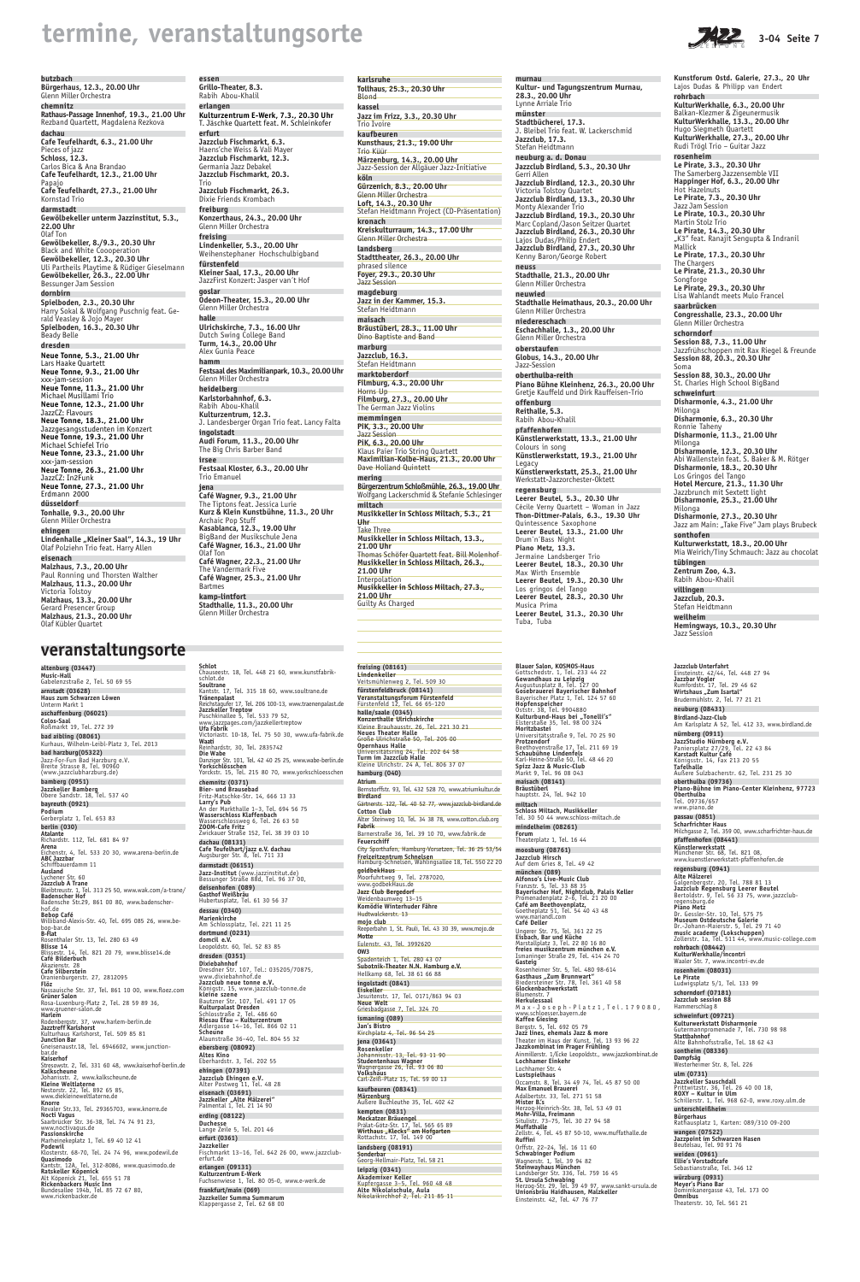## termine, veranstaltungsorte and the series of the series of the series of the series of the series of the series

**butzbach**

**chemnitz**

**dachau**

Pieces of jazz **Schloss, 12.3.**

Papajo

Kornstad Trio **darmstadt**

**22.00 Uhr** Olaf Ton

**dornbirn**

Beady Belle **dresden**

xxx-jam-session

JazzCZ: Flavours

xxx-jam-session

JazzCZ: In2Funk

Erdmann 2000 **düsseldorf**

**ehingen**

**eisenach**

Victoria Tolstoy

**Bürgerhaus, 12.3., 20.00 Uhr** Glenn Miller Orchestra **Rathaus-Passage Innenhof, 19.3., 21.00 Uhr** Rezband Quartett, Magdalena Rezkova **Cafe Teufelhardt, 6.3., 21.00 Uhr** Carlos Bica & Ana Brandao **Cafe Teufelhardt, 12.3., 21.00 Uhr Cafe Teufelhardt, 27.3., 21.00 Uhr Gewölbekeller unterm Jazzinstitut, 5.3., Gewölbekeller, 8./9.3., 20.30 Uhr** Black and White Coooperation **Gewölbekeller, 12.3., 20.30 Uhr** Uli Partheils Playtime & Rüdiger Gieselmann **Gewölbekeller, 26.3., 22.00 Uhr** Bessunger Jam Session **Spielboden, 2.3., 20.30 Uhr** Harry Sokal & Wolfgang Puschnig feat. Gerald Veasley & Jojo Mayer **Spielboden, 16.3., 20.30 Uhr Neue Tonne, 5.3., 21.00 Uhr** Lars Haake Quartett **Neue Tonne, 9.3., 21.00 Uhr Neue Tonne, 11.3., 21.00 Uhr** Michael Musillami Trio **Neue Tonne, 12.3., 21.00 Uhr Neue Tonne, 18.3., 21.00 Uhr** Jazzgesangsstudenten im Konzert **Neue Tonne, 19.3., 21.00 Uhr** Michael Schiefel Trio **Neue Tonne, 23.3., 21.00 Uhr Neue Tonne, 26.3., 21.00 Uhr Neue Tonne, 27.3., 21.00 Uhr Tonhalle, 9.3., 20.00 Uhr** Glenn Miller Orchestra Lindenhalle "Kleiner Saal", 14.3., 19 Uhr Olaf Polziehn Trio feat. Harry Allen **Malzhaus, 7.3., 20.00 Uhr** Paul Ronning und Thorsten Walther **Malzhaus, 11.3., 20.00 Uhr Malzhaus, 13.3., 20.00 Uhr** Gerard Presencer Group **Malzhaus, 21.3., 20.00 Uhr essen Grillo-Theater, 8.3.** Rabih Abou-Khalil **erlangen Kulturzentrum E-Werk, 7.3., 20.30 Uhr** T. Jäschke Quartett feat. M. Schleinkofer **erfurt Jazzclub Fischmarkt, 6.3.** Haens'che Weiss & Vali Mayer **Jazzclub Fischmarkt, 12.3.** Germania Jazz Debakel **Jazzclub Fischmarkt, 20.3.** Trio **Jazzclub Fischmarkt, 26.3.** Dixie Friends Krombach **freiburg Konzerthaus, 24.3., 20.00 Uhr** Glenn Miller Orchestra **freising Lindenkeller, 5.3., 20.00 Uhr** Weihenstephaner Hochschulbigband **fürstenfeld Kleiner Saal, 17.3., 20.00 Uhr** JazzFirst Konzert: Jasper van´t Hof **goslar Odeon-Theater, 15.3., 20.00 Uhr** Glenn Miller Orchestra **halle Ulrichskirche, 7.3., 16.00 Uhr** Dutch Swing College Band **Turm, 14.3., 20.00 Uhr** Alex Gunia Peace **hamm Festsaal des Maximilianpark, 10.3., 20.00 Uhr** Glenn Miller Orchestra **heidelberg Karlstorbahnhof, 6.3.** Rabih Abou-Khalil **Kulturzentrum, 12.3.** J. Landesberger Organ Trio feat. Lancy Falta **ingolstadt Audi Forum, 11.3., 20.00 Uhr** The Big Chris Barber Band **irsee Festsaal Kloster, 6.3., 20.00 Uhr** Trio Emanuel **jena Café Wagner, 9.3., 21.00 Uhr** The Tiptons feat. Jessica Lurie **Kurz & Klein Kunstbühne, 11.3., 20 Uhr** Archaic Pop Stuff **Kasablanca, 12.3., 19.00 Uhr** BigBand der Musikschule Jena **Café Wagner, 16.3., 21.00 Uhr** Olaf Ton **Café Wagner, 22.3., 21.00 Uhr** The Vandermark Five **Café Wagner, 25.3., 21.00 Uhr** Bartmes **kamp-lintfort Stadthalle, 11.3., 20.00 Uhr** Glenn Miller Orchestra

Olaf Kübler Quartet

Kantstr. 12A, Tel. 312-8086, www.quasimodo.de **Ratskeller Köpenick**<br>Alt Köpenick 21, Tel. 655 51 78<br>**Rickenbackers Music Inn**<br>Bundesallee 194b, Tel. 85 72 67 80,<br>www.rickenbacker.de

**altenburg (03447) Music-Hall** Gabelenzstraße 2, Tel. 50 69 55 **arnstadt (03628) Haus zum Schwarzen Löwen**<br>Unterm Markt 1 **aschaffenburg (06021) Colos-Saal** Roßmarkt 19, Tel. 272 39 **bad aibling (08061)** Kurhaus, Wilhelm-Leibl-Platz 3, Tel. 2013 **bad harzburg(05322)** Jazz-For-Fun Bad Harzburg e.V. Breite Strasse 8, Tel. 90960 (www.jazzclubharzburg.de) **bamberg (0951) Jazzkeller Bamberg** Obere Sandstr. 18, Tel. 537 40 **bayreuth (0921) Podium** Gerberplatz 1, Tel. 653 83

> **darmstadt (06151)**<br>**Jazz-Institut** (www.jazzinstitut.de)<br>Bessunger Straße 88d, Tel. 96 37 00, **deisenhofen (089)**

**dresden (0351) Dixiebahnhof**<br>Dresdner Str. 107, Tel.: 035205/70875,<br>www.dixiebahnhof.de<br>Jazzclub neue tonne e.V. Königstr. 15, www.jazzclub-tonne.de **kleine szene** Bautzner Str. 107, Tel. 491 17 05 **Kulturpalast Dresden** Schlosstraße 2, Tel. 486 60 **Riesau Efau – Kulturzentrum** Adlergasse 14–16, Tel. 866 02 11 **Scheune**<br>Alaunstraße 36–40, Tel. 804 55 32

**eisenach (03691) Jazzkeller "Alte Mälzerei"**<br>Palmental 1, Tel. 21 14 90

**berlin (030) Atalante** Richardstr. 112, Tel. 681 84 97 **Arena** Eichenstr. 4, Tel. 533 20 30, www.arena-berlin.de **ABC Jazzbar** Schiffbauerdamm 11<br>**Ausland**<br>Lychener Str. 60<br>B**leibtreustr. 1, Tel. 313 25 50, www.wak.com/a-trane/<br>Badenscher Hof<br>Badenscher Hof** Badensche Str.29, 861 00 80, www.badenscherhof.de **Bebop Café** Williband-Alexis-Str. 40, Tel. 695 085 26, www.bebop-bar.de **B-Flat** Rosenthaler Str. 13, Tel. 280 63 49 **Blisse 14** Blissestr. 14, Tel. 821 20 79, www.blisse14.de **Café Bilderbuch** Akazienstr. 28 **Cafe Silberstein** Oranienburgerstr. 27, 2812095 **Flöz** Nassauische Str. 37, Tel. 861 10 00, www.floez.com **Grüner Salon** Rosa-Luxenburg-Platz 2, Tel. 28 59 89 36, www.gruener-salon.de **Harlem**<br>Rodenbergstr. 37, www.harlem-berlin.de<br>Jazztreff Karlshorst<br>Kulturhaus Karlshorst, Tel. 509 85 81<br>Jun**ction Bar** Gneisenaustr.18, Tel. 6946602, www.junction-<br>bar.de<br>**Kaiserhof**<br>**Kaiserhof**<br>**Kaiserhof**<br>**Kaikscheune**<br>**Kaikscheune (Rould Ally Schermer)**<br>**Kaikscheune Weltlaterne.de<br>Nestorstr. 22, Tel. 892 65 85,<br>Www.diekleineweltlaterne. Nocti Vagus** Saarbrücker Str. 36-38, Tel. 74 74 91 23, www.noctivagus.de **Passionskirche** Marheinekeplatz 1, Tel. 69 40 12 41 **Podewil** Klosterstr. 68-70, Tel. 24 74 96, www.podewil.de **Quasimodo**

Bayerischer Platz 1, Tel. 124 57 60<br>**Hopfenspeicher**<br>Oststr. 38, Tel. 9904880<br>**Kulturbund-Haus bei "Tonelli's"**<br>Elsterstaße 35, Tel. 98 00 324<br>Moritzbastei Universitätsstraße 9, Tel. 70 25 90<br>**Protzendorf**<br>Beethovenstraße 17, Tel. 211 69 19<br>**Schaubühne Lindenfels**<br>Karl-Heine-Straße 50, Tel. 48 46 20<br>Spizz Jazz & Music-Club<br>Markt 9, Tel. 96 08 043 **maisach (08141) Bräustüberl** hauptstr. 24, Tel. 942 10

**Jazzclub Hirsch Jazzciub IIII schi**<br>Auf dem Gries 8, Tel

**veranstaltungsorte**

Wagnerstr. 1, Tel. 39 94 82<br>**Steinwayhaus München**<br>Landsberger Str. 336, Tel. 759 16 45<br>**St. Ursula Schwabing**<br>Herzog-Str. 29, Tel. 39 49 97, www.sankt-ursula.de<br>**Unionsbräu Haidhausen, Malzkeller** Einsteinstr. 42, Tel. 47 76 77

Am Karlsplatz A 52, Tel. 412 33, www.birdland.de **nürnberg (0911) JazzStudio Nürnberg e.V.**<br>Paniersplatz 27/29, Tel. 22 43 84

**Karstadt Kultur Café** Königsstr. 14, Fax 213 20 55<br>**Tafelhalle**<br>Äußere Sulzbacherstr. 62, Tel. 231 25 30

www.piano.de **passau (0851) Scharfrichter Haus** Milchgasse 2, Tel. 359 00, www.scharfrichter-haus.de

**pfaffenhofen (08441) Künstlerwerkstatt** Münchener Str. 68, Tel. 821 08, www.kuenstlerwerkstatt-pfaffenhofen.de

#### **karlsruhe Tollhaus, 25.3., 20.30 Uhr** Blond **kassel Jazz im Frizz, 3.3., 20.30 Uhr** Trio Ivoire **kaufbeuren Kunsthaus, 21.3., 19.00 Uhr** Trio Küür **Märzenburg, 14.3., 20.00 Uhr** Jazz-Session der Allgäuer Jazz-Initiative **köln Gürzenich, 8.3., 20.00 Uhr** Glenn Miller Orchestra **Loft, 14.3., 20.30 Uhr** Stefan Heidtmann Project (CD-Präsentation) **kronach Kreiskulturraum, 14.3., 17.00 Uhr** Glenn Miller Orchestra **landsberg Stadttheater, 26.3., 20.00 Uhr** phrased silence **Foyer, 29.3., 20.30 Uhr Jazz Session magdeburg Jazz in der Kammer, 15.3.** Stefan Heidtmann **maisach Bräustüberl, 28.3., 11.00 Uhr** Dino Baptiste and Band **marburg Jazzclub, 16.3.** Stefan Heidtmann **marktoberdorf Filmburg, 4.3., 20.00 Uhr** Horns Up **Filmburg, 27.3., 20.00 Uhr** The German Jazz Violins **memmingen PiK, 3.3., 20.00 Uhr** Jazz Session **PiK, 6.3., 20.00 Uhr** Klaus Paier Trio String Quartett **Maximilian-Kolbe-Haus, 21.3., 20.00 Uhr** Dave Holland Quintett **mering Bürgerzentrum Schloßmühle, 26.3., 19.00 Uhr** Wolfgang Lackerschmid & Stefanie Schlesinger **miltach Musikkeller in Schloss Miltach, 5.3., 21 Uhr** Take Three **Musikkeller in Schloss Miltach, 13.3., 21.00 Uhr** Thomas Schöfer Quartett feat. Bill Molenhof **Musikkeller in Schloss Miltach, 26.3., 21.00 Uhr** Interpolation **Musikkeller in Schloss Miltach, 27.3., 21.00 Uhr** Guilty As Charged



**Freizeitzentrum Schnelsen** Hamburg-Schnelsen, Wählingsallee 18, Tel. 550 22 20 **goldbekHaus** Moorfuhrtweg 9, Tel. 2787020, www.godbekHaus.de **Jazz Club Bergedorf** Weidenbaumweg 13–15 **Komödie Winterhuder Fähre** Hudtwalckerstr. 13 **mojo club** Reeperbahn 1, St. Pauli, Tel. 43 30 39, www.mojo.de **Motte** Eulenstr. 43, Tel. 3992620 **OW3** Spadenteich 1, Tel. 280 43 07 **Subotnik-Theater N.N. Hamburg e.V.** Hellkamp 68, Tel. 38 61 66 88 **ingolstadt (0841) Eiskeller** Jesuitenstr. 17, Tel. 0171/863 94 03 **Neue Welt** Griesbadgasse 7, Tel. 324 70 **ismaning (089) Jan's Bistro** Kirchplatz 4, Tel. 96 54 25 **jena (03641) Rosenkeller** Johannisstr. 13, Tel. 93 11 90 **Studentenhaus Wagner<br>Wagnergasse 26, Tel. 93 06 80<br><b>Volkshaus**<br>Carl-Zeiß-Platz 15, Tel. 59 00 13 **kaufbeuren (08341) Märzenburg** Äußere Buchleuthe 35, Tel. 402 42 **kempten (0831) Meckatzer Bräuengel<br>Prälat-Götz-Str. 17, Tel. 565 65 89<br><b>Wirthaus "Klecks" am Hofgarten**<br>Rottachstr. 17, Tel. 149 00 **landsberg (08191) Sonderba** 

**Schlot** Chauseestr. 18, Tel. 448 21 60, www.kunstfabrikschlot.de **Soultrane** Kantstr. 17, Tel. 315 18 60, www.soultrane.de **Tränenpalast** Reichstagufer 17, Tel. 206 100-13, www.traenenpalast.de **Jazzkeller Treptow** Puschkinallee 5, Tel. 533 79 52, www.jazzpages.com/jazzkellertreptow **Ufa Fabrik** Victoriastr. 10-18, Tel. 75 50 30, www.ufa-fabrik.de **Waati u**<br>Ihardstr, 30, Tel. 2835742 **Die Wabe** Danziger Str. 101, Tel. 42 40 25 25, www.wabe-berlin.de **Yorkschlösschen** Yorckstr. 15, Tel. 215 80 70, www.yorkschloesschen **chemnitz (0371)** Bier- und Brausebad<br>Fritz-Matschke-Str. 14, 666 13 33<br>Larry's Pub<br>An der Markthalle 1–3, Tel. 694 56 75<br>Wasserschloss Klaffenbach<br>Wasserschlossweg 6, Tel. 26 63 50<br>Zwickauer Straße 152, Tel. 38 39 03 10 **dachau (08131) Cafe Teufelhart/jazz e.V. dachau** Augsburger Str. 8, Tel. 711 33

**Gasthof Weißbräu** Hubertusplatz, Tel. 61 30 56 37

**dessau (0340) Marienkirche** Am Schlossplatz, Tel. 221 11 25 **dortmund (0231)**

**domcil e.V.** Leopoldstr. 60, Tel. 52 83 85

Drum'n'Bass Night **Piano Metz, 13.3.** Jermaine Landsberger Trio **Leerer Beutel, 18.3., 20.30 Uhr**

**ebersberg (08092) Altes Kino** Eberhardstr. 3, Tel. 202 55

**ehingen (07391) Jazzclub Ehingen e.V.** Alter Postweg 11, Tel. 48 28

**erding (08122) Duchesse** Lange Zeile 5, Tel. 201 46

**erfurt (0361)**

**Jazzkeller**<br>Fischmarkt 13–16, Tel. 642 26 00, www.jazzclub-<br>erfurt.de

**erlangen (09131)**

**Kulturzentrum E-Werk** Fuchsenwiese 1, Tel. 80 05-0, www.e-werk.de

**frankfurt/main (069)**

**Jazzkeller Summa Summarum** Klappergasse 2, Tel. 62 68 00

**Blauer Salon, KOSMOS-Haus** Gottschedstr. 1, Tel. 233 44 22 **Gewandhaus zu Leipzig** Augustusplatz 8, Tel. 127 00 **Gosebrauerei Bayerischer Bahnhof miltach**

**Jazzclub Unterfahrt**<br>Einsteinstr. 42/44, Tel. 448 27 94<br>**Jazzbar Vogler**<br>Rumfordstr. 17, Tel. 29 46 62 Wirtshaus "Zum Isartal" Brudermühlstr. 2, Tel. 77 21 21 **neuburg (08431) Birdland-Jazz-Club Kultur- und Tagungszentrum Murnau,** J. Bleibel Trio feat. W. Lackerschmid **Jazzclub Birdland, 5.3., 20.30 Uhr Jazzclub Birdland, 12.3., 20.30 Uhr Jazzclub Birdland, 13.3., 20.30 Uhr Jazzclub Birdland, 19.3., 20.30 Uhr** Marc Copland/Jason Seitzer Quartet **Jazzclub Birdland, 26.3., 20.30 Uhr Jazzclub Birdland, 27.3., 20.30 Uhr Stadthalle Heimathaus, 20.3., 20.00 Uhr Piano Bühne Kleinhenz, 26.3., 20.00 Uhr** Gretje Kauffeld und Dirk Rauffeisen-Trio **Künstlerwerkstatt, 13.3., 21.00 Uhr Künstlerwerkstatt, 19.3., 21.00 Uhr Künstlerwerkstatt, 25.3., 21.00 Uhr** Cécile Verny Quartett – Woman in Jazz **Thon-Dittmer-Palais, 6.3., 19.30 Uhr Kunstforum Ostd. Galerie, 27.3., 20 Uhr** Lajos Dudas & Philipp van Endert **rohrbach KulturWerkhalle, 6.3., 20.00 Uhr** Balkan-Klezmer & Zigeunermusik **KulturWerkhalle, 13.3., 20.00 Uhr** Hugo Siegmeth Quartett **KulturWerkhalle, 27.3., 20.00 Uhr** Rudi Trögl Trio – Guitar Jazz **rosenheim Le Pirate, 3.3., 20.30 Uhr** The Samerberg Jazzensemble VII **Happinger Hof, 6.3., 20.00 Uhr** Hot Hazelnuts **Le Pirate, 7.3., 20.30 Uhr** Jazz Jam Session **Le Pirate, 10.3., 20.30 Uhr** Martin Stolz Trio **Le Pirate, 14.3., 20.30 Uhr** "K3" feat. Ranajit Sengupta & Indranil Mallick **Le Pirate, 17.3., 20.30 Uhr** The Chargers **Le Pirate, 21.3., 20.30 Uhr** Songforge **Le Pirate, 29.3., 20.30 Uhr** Lisa Wahlandt meets Mulo Francel **saarbrücken Congresshalle, 23.3., 20.00 Uhr** Glenn Miller Orchestra **schorndorf Session 88, 7.3., 11.00 Uhr** Jazzfrühschoppen mit Rax Riegel & Freunde **Session 88, 20.3., 20.30 Uhr** Soma **Session 88, 30.3., 20.00 Uhr** St. Charles High School BigBand **schweinfurt Disharmonie, 4.3., 21.00 Uhr** Milonga **Disharmonie, 6.3., 20.30 Uhr** Ronnie Taheny **Disharmonie, 11.3., 21.00 Uhr** Milonga **Disharmonie, 12.3., 20.30 Uhr** Abi Wallenstein feat. S. Baker & M. Rötger **Disharmonie, 18.3., 20.30 Uhr** Los Gringos del Tango **Hotel Mercure, 21.3., 11.30 Uhr** Jazzbrunch mit Sextett light **Disharmonie, 25.3., 21.00 Uhr** Milonga **Disharmonie, 27.3., 20.30 Uhr** Jazz am Main: "Take Five" Jam plays Brubeck **sonthofen Kulturwerkstatt, 18.3., 20.00 Uhr** Mia Weirich/Tiny Schmauch: Jazz au chocolat **tübingen Zentrum Zoo, 4.3.** Rabih Abou-Khalil **villingen Jazzclub, 20.3.** Stefan Heidtmann **weilheim Hemingways, 10.3., 20.30 Uhr** Jazz Session

**Schloss Miltach, Musikkeller** Tel. 30 50 44 www.schloss-miltach.de **mindelheim (08261) Forum** Theaterplatz 1, Tel. 16 44

**münchen (089) Alfonso's Live-Music Club** Franzstr. 5, Tel. 33 88 35 **Bayerischer Hof, Nightclub, Palais Keller** Promenadenplatz 2–6, Tel. 21 20 00<br>**Café am Beethovenplatz,**<br>Goetheplatz 51, Tel. 54 40 43 48 www.mariandl.com **Café Deller** Ungerer Str. 75, Tel. 361 22 25 **Eisbach, Bar und Küche** Marstallplatz 3, Tel. 22 80 16 80 **freies musikzentrum münchen e.V.** Ismaninger Straße 29, Tel. 414 24 70 **Gasteig** Rosenheimer Str. 5, Tel. 480 98-614<br>**Gasthaus "Zum Brunnwart"**<br>Biedersteiner Str. 78, Tel. 361 40 58<br>**Glockenbachwerkstatt** Blumenstr. 7 **Herkulessaal** Max-Joseph-Platz1,Tel.179080, www.schloesser.bayern.de **Kaffee Giesing** Bergstr. 5, Tel. 692 05 79 **Jazz lines, ehemals Jazz & more** Theater im Haus der Kunst, Tel. 13 93 96 22 **Jazzkombinat im Prager Frühling** Ainmillerstr. 1/Ecke Leopoldstr., www.jazzkombinat.de **Lochhamer Einkehr** Lochhamer Str. 4 **Lustspielhaus** Occamstr. 8, Tel. 34 49 74, Tel. 45 87 50 00 **Max Emanuel Brauerei** Adalbertstr. 33, Tel. 271 51 58<br>Mister B.'s M**ister B.'s**<br>Herzog-Heinrich-Str. 38, Tel. 53 49 01<br>M**ohr-Villa, Freimann**<br>Situlistr. 73–75, Tel. 30 27 94 58<br>**Muffathalle**<br>Zellstr. 4, Tel. 45 87 50-10, www.muffathalle.de **Ruffini** Orffstr. 22–24, Tel. 16 11 60 **Schwabinger Podium**

**oberthulba (09736) Piano-Bühne im Piano-Center Kleinhenz, 97723 Oberthulba** Tel. 09736/657

**moosburg (08761)** City Sporthafen, Hamburg-Vorsetzen, Tel. 36 25 53/54

> **regensburg (0941) Alte Mälzerei**<br>Galgenbergstr. 20, Tel. 788 81 13<br>Jazzclub Regensburg Leerer Beutel<br>Bertoldstr. 9, Tel. 56 33 75, www.jazzclub-Bertoldstr. 9, T<br>regensburg.de **Piano Metz** Dr. Gessler-Str. 10, Tel. 575 75<br>M**useum Ostdeutsche Galerie**<br>Dr.-Johann-Maierstr. 5, Tel. 29 71 40<br>**music academy (Lokschuppen)**<br>Zollerstr. 1a, Tel. 511 44, www.music-college.com **rohrbach (08442) KulturWerkhalle/incontri**

Waaler Str. 7, www.incontri-ev.de

**rosenheim (08031) Le Pirate** Ludwigsplatz 5/1, Tel. 133 99

**schorndorf (07181) Jazzclub session 88** Hammerschlag 8

**schweinfurt (09721) Kulturwerkstatt Disharmonie** Gutermannpromenade 7, Tel. 730 98 98 **Stattbahnhof** Alte Bahnhofsstraße, Tel. 18 62 43

**sontheim (08336) Dampfsäg** Westerheimer Str. 8, Tel. 226

**ulm (0731)**

**Jazzkeller Sauschdall**<br>Prittwitzstr. 36, Tel. 26 40 00 18,<br>**ROXY – Kultur in Ulm**<br>Schillerstr. 1, Tel. 968 62-0, www.roxy.ulm.de

**unterschleißheim**

**Bürgerhaus** Rathausplatz 1, Karten: 089/310 09-200

**wangen (07522) Jazzpoint im Schwarzen Hasen** Beutelsau, Tel. 90 91 76

**weiden (0961) Ellie's Vorstadtcafe** Sebastianstraße, Tel. 346 12

**würzburg (0931) Meyer's Piano Bar** Dominikanergasse 43, Tel. 173 00 **Omnibus** Theaterstr. 10, Tel. 561 21

**freising (08161) Lindenkeller** Veitsmühlenweg 2, Tel. 509 30 **fürstenfeldbruck (08141) Veranstaltungsforum Fürstenfeld** Fürstenfeld 12, Tel. 66 65-120 **halle/saale (0345) Konzerthalle Ulrichskirche** Kleine Brauhausstr. 26, Tel. 221 30 21<br>**Neues Theater Halle**<br>Große Ulrichstraße 50, Tel. 205 00<br>**Opernhaus Halle**<br>Universitätsring 24, Tel. 202 64 58 **Turm im Jazzclub Halle** Kleine Ulrichstr. 24 A, Tel. 806 37 07 **hamburg (040) Atrium** Bernstorffstr. 93, Tel. 432 528 70, www.atriumkultur.de **Birdland** Gärtnerstr. 122, Tel. 40 52 77, www.jazzclub-birdland.de **Cotton Club** Alter Steinweg 10, Tel. 34 38 78, www.cotton.club.org **Fabrik** Barnerstraße 36, Tel. 39 10 70, www.fabrik.de

**Feuerschiff**

Georg-Hellmair-Platz, Tel. 58 21

**leipzig (0341) Akademixer Keller** Kupfergasse 3–5, Tel. 960 48 48 **Alte Nikolaischule, Aula** Nikolaikirchhof 2, Tel. 211 85 11 **murnau**

**28.3., 20.00 Uhr** Lynne Arriale Trio **münster**

**Stadtbücherei, 17.3.**

**Jazzclub, 17.3.** Stefan Heidtmann **neuburg a. d. Donau**

Gerri Allen

Victoria Tolstoy Quartet

Lajos Dudas/Philip Endert

Kenny Baron/George Robert

**neuss**

**Stadthalle, 21.3., 20.00 Uhr** Glenn Miller Orchestra

**neuwied**

Glenn Miller Orchestra **niedereschach**

Monty Alexander Trio

**Eschachhalle, 1.3., 20.00 Uhr** Glenn Miller Orchestra **oberstaufen**

**Globus, 14.3., 20.00 Uhr**

Jazz-Session **oberthulba-reith**

**offenburg Reithalle, 5.3.** Rabih Abou-Khalil **pfaffenhofen**

Colours in song

Legacy

Werkstatt-Jazzorchester-Oktett

**regensburg**

**Leerer Beutel, 5.3., 20.30 Uhr**

Quintessence Saxophone **Leerer Beutel, 13.3., 21.00 Uhr**

Max Wirth Ensemble

**Leerer Beutel, 19.3., 20.30 Uhr**

Los gringos del Tango

**Leerer Beutel, 28.3., 20.30 Uhr**

Musica Prima

**Leerer Beutel, 31.3., 20.30 Uhr**

Tuba, Tuba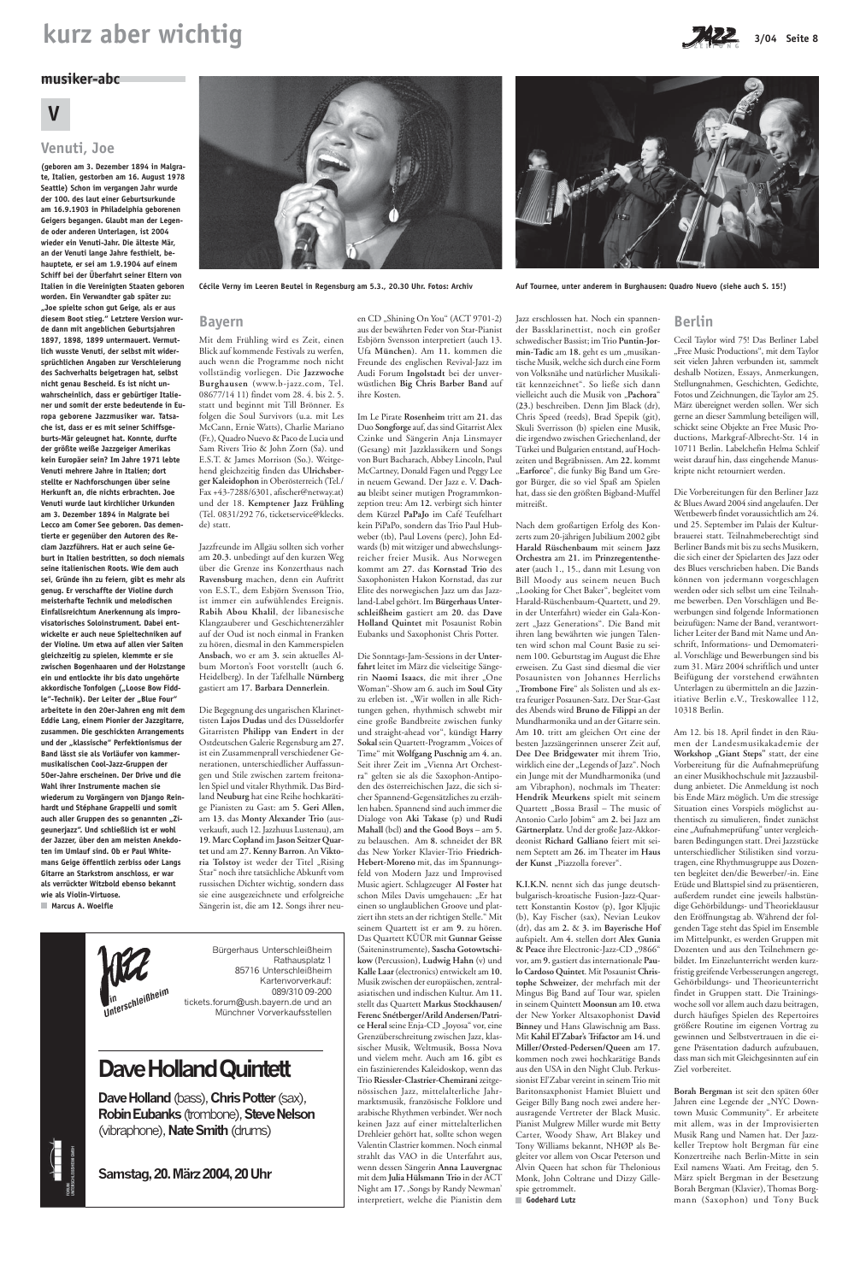# **kurz aber wichtig** 3/04 Seite 8



### **musiker-abc**

# **V**

## **Venuti, Joe**

**(geboren am 3. Dezember 1894 in Malgrate, Italien, gestorben am 16. August 1978 Seattle) Schon im vergangen Jahr wurde der 100. des laut einer Geburtsurkunde am 16.9.1903 in Philadelphia geborenen Geigers begangen. Glaubt man der Legende oder anderen Unterlagen, ist 2004 wieder ein Venuti-Jahr. Die älteste Mär, an der Venuti lange Jahre festhielt, behauptete, er sei am 1.9.1904 auf einem Schiff bei der Überfahrt seiner Eltern von Italien in die Vereinigten Staaten geboren worden. Ein Verwandter gab später zu: "Joe spielte schon gut Geige, als er aus diesem Boot stieg." Letztere Version wurde dann mit angeblichen Geburtsjahren 1897, 1898, 1899 untermauert. Vermutlich wusste Venuti, der selbst mit widersprüchlichen Angaben zur Verschleierung des Sachverhalts beigetragen hat, selbst nicht genau Bescheid. Es ist nicht unwahrscheinlich, dass er gebürtiger Italiener und somit der erste bedeutende in Europa geborene Jazzmusiker war. Tatsache ist, dass er es mit seiner Schiffsgeburts-Mär geleugnet hat. Konnte, durfte der größte weiße Jazzgeiger Amerikas kein Europäer sein? Im Jahre 1971 lebte Venuti mehrere Jahre in Italien; dort stellte er Nachforschungen über seine Herkunft an, die nichts erbrachten. Joe Venuti wurde laut kirchlicher Urkunden am 3. Dezember 1894 in Malgrate bei Lecco am Comer See geboren. Das dementierte er gegenüber den Autoren des Reclam Jazzführers. Hat er auch seine Geburt in Italien bestritten, so doch niemals seine italienischen Roots. Wie dem auch sei, Gründe ihn zu feiern, gibt es mehr als genug. Er verschaffte der Violine durch meisterhafte Technik und melodischen Einfallsreichtum Anerkennung als improvisatorisches Soloinstrument. Dabei entwickelte er auch neue Spieltechniken auf der Violine. Um etwa auf allen vier Saiten gleichzeitig zu spielen, klemmte er sie zwischen Bogenhaaren und der Holzstange ein und entlockte ihr bis dato ungehörte** akkordische Tonfolgen ("Loose Bow Fiddle"-Technik). Der Leiter der "Blue Four" **arbeitete in den 20er-Jahren eng mit dem Eddie Lang, einem Pionier der Jazzgitarre, zusammen. Die geschickten Arrangements** und der "klassische" Perfektionismus der **Band lässt sie als Vorläufer von kammermusikalischen Cool-Jazz-Gruppen der 50er-Jahre erscheinen. Der Drive und die Wahl ihrer Instrumente machen sie wiederum zu Vorgängern von Django Reinhardt und Stéphane Grappelli und somit** auch aller Gruppen des so genannten "Zi**geunerjazz". Und schließlich ist er wohl der Jazzer, über den am meisten Anekdoten im Umlauf sind. Ob er Paul Whitemans Geige öffentlich zerbiss oder Langs**



Dave Holland (bass), Chris Potter (sax), Robin Eubanks (trombone), Steve Nelson (vibraphone), Nate Smith (drums)

en CD "Shining On You" (ACT 9701-2) aus der bewährten Feder von Star-Pianist Esbjörn Svensson interpretiert (auch 13. Ufa **München**). Am **11.** kommen die Freunde des englischen Revival-Jazz im Audi Forum **Ingolstadt** bei der unverwüstlichen **Big Chris Barber Band** auf ihre Kosten.

**Gitarre an Starkstrom anschloss, er war als verrückter Witzbold ebenso bekannt wie als Violin-Virtuose. Marcus A. Woelfle**

> Bürgerhaus Unterschleißheim Rathausplatz 1 85716 Unterschleißheim Kartenvorverkauf: in<br>Unterschleißheim 089/310 09-200 tickets.forum@ush.bayern.de und an Münchner Vorverkaufsstellen

## Dave Holland Quintett

Samstag, 20. März 2004, 20 Uhr

### **Bayern**

Mit dem Frühling wird es Zeit, einen Blick auf kommende Festivals zu werfen, auch wenn die Programme noch nicht vollständig vorliegen. Die **Jazzwoche Burghausen** (www.b-jazz.com, Tel. 08677/14 11) findet vom 28. 4. bis 2. 5. statt und beginnt mit Till Brönner. Es folgen die Soul Survivors (u.a. mit Les McCann, Ernie Watts), Charlie Mariano (Fr.), Quadro Nuevo & Paco de Lucia und Sam Rivers Trio & John Zorn (Sa). und E.S.T. & James Morrison (So.). Weitgehend gleichzeitig finden das **Ulrichsberger Kaleidophon** in Oberösterreich (Tel./ Fax +43-7288/6301, afischer@netway.at) und der 18. **Kemptener Jazz Frühling** (Tel. 0831/292 76, ticketservice@klecks. de) statt.

Jazzfreunde im Allgäu sollten sich vorher am **20.3.** unbedingt auf den kurzen Weg über die Grenze ins Konzerthaus nach **Ravensburg** machen, denn ein Auftritt von E.S.T., dem Esbjörn Svensson Trio, ist immer ein aufwühlendes Ereignis. **Rabih Abou Khalil**, der libanesische Klangzauberer und Geschichtenerzähler auf der Oud ist noch einmal in Franken zu hören, diesmal in den Kammerspielen **Ansbach**, wo er am **3.** sein aktuelles Album Morton's Foot vorstellt (auch 6. Heidelberg). In der Tafelhalle **Nürnberg** gastiert am **17. Barbara Dennerlein**.

Nach dem großartigen Erfolg des Konzerts zum 20-jährigen Jubiläum 2002 gibt **Harald Rüschenbaum** mit seinem **Jazz Orchestra** am **21.** im **Prinzregententheater** (auch 1., 15., dann mit Lesung von Bill Moody aus seinem neuen Buch "Looking for Chet Baker", begleitet vom Harald-Rüschenbaum-Quartett, und 29. in der Unterfahrt) wieder ein Gala-Konzert "Jazz Generations". Die Band mit ihren lang bewährten wie jungen Talenten wird schon mal Count Basie zu seinem 100. Geburtstag im August die Ehre erweisen. Zu Gast sind diesmal die vier Posaunisten von Johannes Herrlichs "Trombone Fire" als Solisten und als extra feuriger Posaunen-Satz. Der Star-Gast des Abends wird **Bruno de Filippi** an der Mundharmonika und an der Gitarre sein. Am **10.** tritt am gleichen Ort eine der besten Jazzsängerinnen unserer Zeit auf, **Dee Dee Bridgewater** mit ihrem Trio, wirklich eine der "Legends of Jazz". Noch ein Junge mit der Mundharmonika (und am Vibraphon), nochmals im Theater: **Hendrik Meurkens** spielt mit seinem Quartett "Bossa Brasil - The music of Antonio Carlo Jobim" am **2.** bei Jazz am **Gärtnerplatz**. Und der große Jazz-Akkordeonist **Richard Galliano** feiert mit seinem Septett am **26.** im Theater im **Haus** der Kunst "Piazzolla forever".

Die Begegnung des ungarischen Klarinettisten **Lajos Dudas** und des Düsseldorfer Gitarristen **Philipp van Endert** in der Ostdeutschen Galerie Regensburg am **27.** ist ein Zusammenprall verschiedener Generationen, unterschiedlicher Auffassungen und Stile zwischen zartem freitonalen Spiel und vitaler Rhythmik. Das Birdland **Neuburg** hat eine Reihe hochkarätige Pianisten zu Gast: am **5. Geri Allen,** am **13.** das **Monty Alexander Trio** (ausverkauft, auch 12. Jazzhuus Lustenau), am **19. Marc Copland** im **Jason Seitzer Quartet** und am **27. Kenny Barron**. An **Vikto**ria Tolstoy ist weder der Titel "Rising Star" noch ihre tatsächliche Abkunft vom russischen Dichter wichtig, sondern dass sie eine ausgezeichnete und erfolgreiche Sängerin ist, die am **12.** Songs ihrer neuIm Le Pirate **Rosenheim** tritt am **21.** das Duo **Songforge** auf, das sind Gitarrist Alex Czinke und Sängerin Anja Linsmayer (Gesang) mit Jazzklassikern und Songs von Burt Bacharach, Abbey Lincoln, Paul McCartney, Donald Fagen und Peggy Lee in neuem Gewand. Der Jazz e. V. **Dachau** bleibt seiner mutigen Programmkonzeption treu: Am **12.** verbirgt sich hinter dem Kürzel **PaPaJo** im Café Teufelhart kein PiPaPo, sondern das Trio Paul Hubweber (tb), Paul Lovens (perc), John Edwards (b) mit witziger und abwechslungsreicher freier Musik. Aus Norwegen kommt am **27**. das **Kornstad Trio** des Saxophonisten Hakon Kornstad, das zur Elite des norwegischen Jazz um das Jazzland-Label gehört. Im **Bürgerhaus Unterschleißheim** gastiert am **20.** das **Dave Holland Quintet** mit Posaunist Robin Eubanks und Saxophonist Chris Potter.

Die Sonntags-Jam-Sessions in der **Unterfahrt** leitet im März die vielseitige Sängerin Naomi Isaacs, die mit ihrer "One Woman"-Show am 6. auch im **Soul City** zu erleben ist. "Wir wollen in alle Richtungen gehen, rhythmisch schwebt mir eine große Bandbreite zwischen funky und straight-ahead vor", kündigt **Harry** Sokal sein Quartett-Programm "Voices of Time" mit **Wolfgang Puschnig** am **4.** an. Seit ihrer Zeit im "Vienna Art Orchestra" gelten sie als die Saxophon-Antipoden des österreichischen Jazz, die sich sicher Spannend-Gegensätzliches zu erzählen haben. Spannend sind auch immer die Dialoge von **Aki Takase (**p) und **Rudi Mahall** (bcl) **and the Good Boys** – am **5.** zu belauschen. Am **8.** schneidet der BR das New Yorker Klavier-Trio **Friedrich-Hebert-Moreno** mit, das im Spannungsfeld von Modern Jazz und Improvised Music agiert. Schlagzeuger **Al Foster** hat schon Miles Davis umgehauen: "Er hat einen so unglaublichen Groove und platziert ihn stets an der richtigen Stelle." Mit seinem Quartett ist er am **9.** zu hören. Das Quartett KÜÜR mit **Gunnar Geisse** (Saiteninstrumente), **Sascha Gotowtschikow** (Percussion), **Ludwig Hahn** (v) und **Kalle Laar** (electronics) entwickelt am **10.** Musik zwischen der europäischen, zentralasiatischen und indischen Kultur. Am **11.** stellt das Quartett **Markus Stockhausen/ Ferenc Snétberger/Arild Andersen/Patri**ce Heral seine Enja-CD "Joyosa" vor, eine Grenzüberschreitung zwischen Jazz, klassischer Musik, Weltmusik, Bossa Nova und vielem mehr. Auch am **16.** gibt es ein faszinierendes Kaleidoskop, wenn das Trio **Riessler-Clastrier-Chemirani** zeitgenössischen Jazz, mittelalterliche Jahrmarktsmusik, französische Folklore und arabische Rhythmen verbindet. Wer noch keinen Jazz auf einer mittelalterlichen Drehleier gehört hat, sollte schon wegen Valentin Clastrier kommen. Noch einmal strahlt das VAO in die Unterfahrt aus, wenn dessen Sängerin **Anna Lauvergnac** mit dem **Julia Hülsmann Trio** in der ACT Night am 17. , Songs by Randy Newman' interpretiert, welche die Pianistin dem

Jazz erschlossen hat. Noch ein spannender Bassklarinettist, noch ein großer schwedischer Bassist; im Trio **Puntin-Jor**min-Tadic am 18. geht es um "musikantische Musik, welche sich durch eine Form von Volksnähe und natürlicher Musikalität kennzeichnet". So ließe sich dann vielleicht auch die Musik von "Pachora" (**23.**) beschreiben. Denn Jim Black (dr), Chris Speed (reeds), Brad Spepik (git), Skuli Sverrisson (b) spielen eine Musik, die irgendwo zwischen Griechenland, der Türkei und Bulgarien entstand, auf Hochzeiten und Begräbnissen. Am **22.** kommt "Earforce", die funky Big Band um Gregor Bürger, die so viel Spaß am Spielen hat, dass sie den größten Bigband-Muffel mitreißt.

**K.I.K.N.** nennt sich das junge deutschbulgarisch-kroatische Fusion-Jazz-Quartett Konstantin Kostov (p), Igor Kljujic (b), Kay Fischer (sax), Nevian Leukov (dr), das am **2.** & **3.** im **Bayerische Hof** aufspielt. Am **4.** stellen dort **Alex Gunia** & Peace ihre Electronic-Jazz-CD "9866" vor, am **9.** gastiert das internationale **Paulo Cardoso Quintet**. Mit Posaunist **Christophe Schweizer**, der mehrfach mit der Mingus Big Band auf Tour war, spielen in seinem Quintett **Moonsun** am **10.** etwa der New Yorker Altsaxophonist **David Binney** und Hans Glawischnig am Bass. Mit **Kahil El'Zabar's Trifactor** am **14.** und **Miller/Ørsted-Pedersen/Queen** am **17.** kommen noch zwei hochkarätige Bands aus den USA in den Night Club. Perkussionist El'Zabar vereint in seinem Trio mit Baritonsaxphonist Hamiet Bluiett und Geiger Billy Bang noch zwei andere herausragende Vertreter der Black Music. Pianist Mulgrew Miller wurde mit Betty Carter, Woody Shaw, Art Blakey und Tony Williams bekannt, NHØP als Begleiter vor allem von Oscar Peterson und Alvin Queen hat schon für Thelonious Monk, John Coltrane und Dizzy Gillespie getrommelt.

 **Godehard Lutz**

### **Berlin**

Cecil Taylor wird 75! Das Berliner Label "Free Music Productions", mit dem Taylor seit vielen Jahren verbunden ist, sammelt deshalb Notizen, Essays, Anmerkungen, Stellungnahmen, Geschichten, Gedichte, Fotos und Zeichnungen, die Taylor am 25. März übereignet werden sollen. Wer sich gerne an dieser Sammlung beteiligen will, schickt seine Objekte an Free Music Productions, Markgraf-Albrecht-Str. 14 in 10711 Berlin. Labelchefin Helma Schleif weist darauf hin, dass eingehende Manuskripte nicht retourniert werden.

Die Vorbereitungen für den Berliner Jazz & Blues Award 2004 sind angelaufen. Der Wettbewerb findet voraussichtlich am 24. und 25. September im Palais der Kulturbrauerei statt. Teilnahmeberechtigt sind Berliner Bands mit bis zu sechs Musikern, die sich einer der Spielarten des Jazz oder des Blues verschrieben haben. Die Bands können von jedermann vorgeschlagen werden oder sich selbst um eine Teilnahme bewerben. Den Vorschlägen und Bewerbungen sind folgende Informationen beizufügen: Name der Band, verantwortlicher Leiter der Band mit Name und Anschrift, Informations- und Demomaterial. Vorschläge und Bewerbungen sind bis zum 31. März 2004 schriftlich und unter Beifügung der vorstehend erwähnten Unterlagen zu übermitteln an die Jazzinitiative Berlin e.V., Treskowallee 112, 10318 Berlin.

Am 12. bis 18. April findet in den Räumen der Landesmusikakademie der Workshop "Giant Steps" statt, der eine Vorbereitung für die Aufnahmeprüfung an einer Musikhochschule mit Jazzausbildung anbietet. Die Anmeldung ist noch bis Ende März möglich. Um die stressige Situation eines Vorspiels möglichst authentisch zu simulieren, findet zunächst eine "Aufnahmeprüfung" unter vergleichbaren Bedingungen statt. Drei Jazzstücke unterschiedlicher Stilistiken sind vorzutragen, eine Rhythmusgruppe aus Dozenten begleitet den/die Bewerber/-in. Eine Etüde und Blattspiel sind zu präsentieren, außerdem rundet eine jeweils halbstündige Gehörbildungs- und Theorieklausur den Eröffnungstag ab. Während der folgenden Tage steht das Spiel im Ensemble im Mittelpunkt, es werden Gruppen mit Dozenten und aus den Teilnehmern gebildet. Im Einzelunterricht werden kurzfristig greifende Verbesserungen angeregt, Gehörbildungs- und Theorieunterricht findet in Gruppen statt. Die Trainingswoche soll vor allem auch dazu beitragen, durch häufiges Spielen des Repertoires größere Routine im eigenen Vortrag zu gewinnen und Selbstvertrauen in die eigene Präsentation dadurch aufzubauen, dass man sich mit Gleichgesinnten auf ein Ziel vorbereitet.

**Borah Bergman** ist seit den späten 60er Jahren eine Legende der "NYC Downtown Music Community". Er arbeitete mit allem, was in der Improvisierten Musik Rang und Namen hat. Der Jazzkeller Treptow holt Bergman für eine Konzertreihe nach Berlin-Mitte in sein Exil namens Waati. Am Freitag, den 5. März spielt Bergman in der Besetzung Borah Bergman (Klavier), Thomas Borgmann (Saxophon) und Tony Buck

**Cécile Verny im Leeren Beutel in Regensburg am 5.3., 20.30 Uhr. Fotos: Archiv Auf Tournee, unter anderem in Burghausen: Quadro Nuevo (siehe auch S. 15!)**

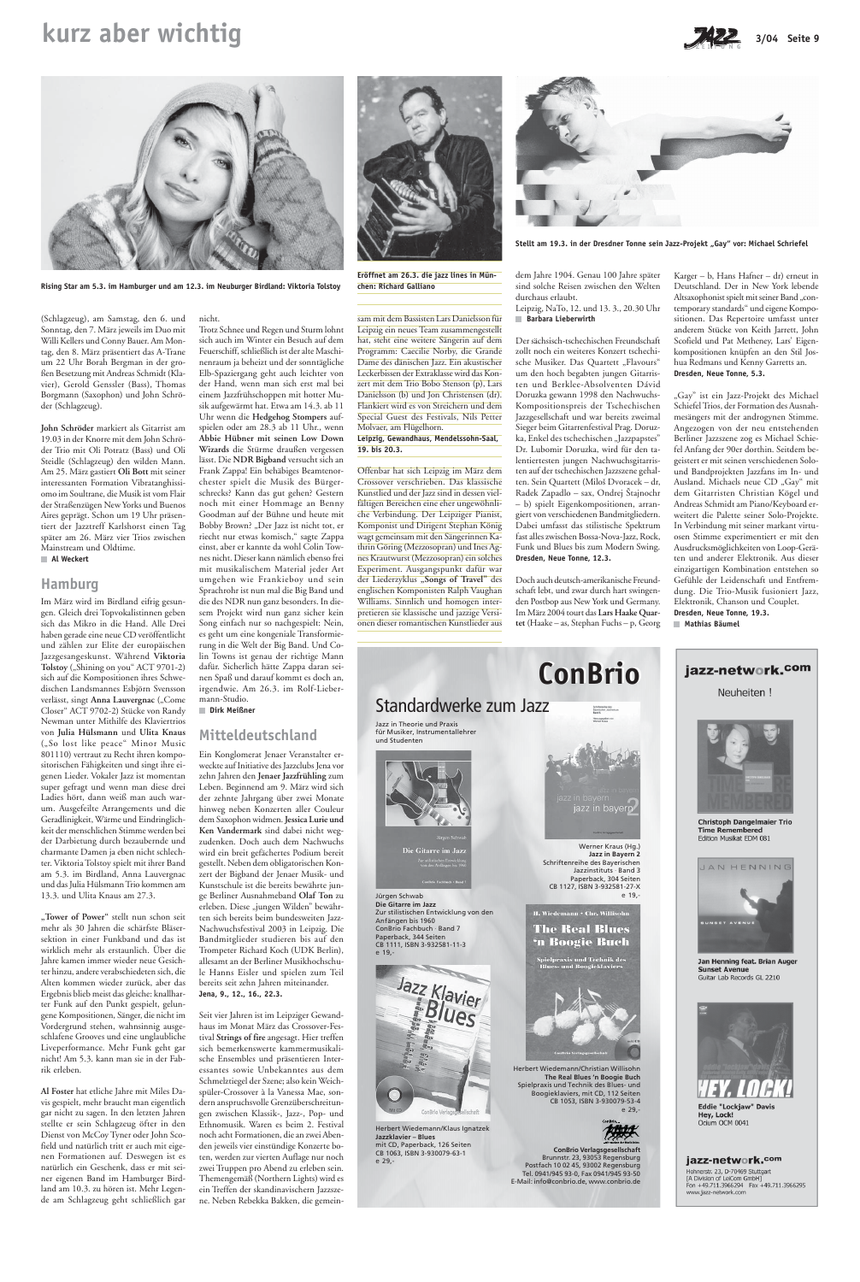(Schlagzeug), am Samstag, den 6. und Sonntag, den 7. März jeweils im Duo mit Willi Kellers und Conny Bauer. Am Montag, den 8. März präsentiert das A-Trane um 22 Uhr Borah Bergman in der großen Besetzung mit Andreas Schmidt (Klavier), Gerold Genssler (Bass), Thomas Borgmann (Saxophon) und John Schröder (Schlagzeug).

**John Schröder** markiert als Gitarrist am 19.03 in der Knorre mit dem John Schröder Trio mit Oli Potratz (Bass) und Oli Steidle (Schlagzeug) den wilden Mann. Am 25. März gastiert **Oli Bott** mit seiner interessanten Formation Vibratanghissiomo im Soultrane, die Musik ist vom Flair der Straßenzügen New Yorks und Buenos Aires geprägt. Schon um 19 Uhr präsentiert der Jazztreff Karlshorst einen Tag später am 26. März vier Trios zwischen Mainstream und Oldtime.  **Al Weckert**

### **Hamburg**

Im März wird im Birdland eifrig gesungen. Gleich drei Topvokalistinnen geben sich das Mikro in die Hand. Alle Drei haben gerade eine neue CD veröffentlicht und zählen zur Elite der europäischen Jazzgesangeskunst. Während **Viktoria** Tolstoy ("Shining on you" ACT 9701-2) sich auf die Kompositionen ihres Schwedischen Landsmannes Esbjörn Svensson verlässt, singt Anna Lauvergnac ("Come Closer" ACT 9702-2) Stücke von Randy Newman unter Mithilfe des Klaviertrios von **Julia Hülsmann** und **Ulita Knaus** ("So lost like peace" Minor Music 801110) vertraut zu Recht ihren kompositorischen Fähigkeiten und singt ihre eigenen Lieder. Vokaler Jazz ist momentan super gefragt und wenn man diese drei Ladies hört, dann weiß man auch warum. Ausgefeilte Arrangements und die Geradlinigkeit, Wärme und Eindringlichkeit der menschlichen Stimme werden bei der Darbietung durch bezaubernde und charmante Damen ja eben nicht schlechter. Viktoria Tolstoy spielt mit ihrer Band am 5.3. im Birdland, Anna Lauvergnac und das Julia Hülsmann Trio kommen am 13.3. und Ulita Knaus am 27.3.

**"Tower of Power"** stellt nun schon seit mehr als 30 Jahren die schärfste Bläsersektion in einer Funkband und das ist wirklich mehr als erstaunlich. Über die Jahre kamen immer wieder neue Gesichter hinzu, andere verabschiedeten sich, die Alten kommen wieder zurück, aber das Ergebnis blieb meist das gleiche: knallharter Funk auf den Punkt gespielt, gelungene Kompositionen, Sänger, die nicht im Vordergrund stehen, wahnsinnig ausgeschlafene Grooves und eine unglaubliche Liveperformance. Mehr Funk geht gar nicht! Am 5.3. kann man sie in der Fabrik erleben.

**Al Foster** hat etliche Jahre mit Miles Davis gespielt, mehr braucht man eigentlich gar nicht zu sagen. In den letzten Jahren stellte er sein Schlagzeug öfter in den Dienst von McCoy Tyner oder John Scofield und natürlich tritt er auch mit eigenen Formationen auf. Deswegen ist es natürlich ein Geschenk, dass er mit seiner eigenen Band im Hamburger Birdland am 10.3. zu hören ist. Mehr Legende am Schlagzeug geht schließlich gar

### nicht.

Trotz Schnee und Regen und Sturm lohnt sich auch im Winter ein Besuch auf dem Feuerschiff, schließlich ist der alte Maschinenraum ja beheizt und der sonntägliche Elb-Spaziergang geht auch leichter von der Hand, wenn man sich erst mal bei einem Jazzfrühschoppen mit hotter Musik aufgewärmt hat. Etwa am 14.3. ab 11 Uhr wenn die **Hedgehog Stompers** aufspielen oder am 28.3 ab 11 Uhr., wenn **Abbie Hübner mit seinen Low Down Wizards** die Stürme draußen vergessen lässt. Die **NDR Bigband** versucht sich an Frank Zappa! Ein behäbiges Beamtenorchester spielt die Musik des Bürgerschrecks? Kann das gut gehen? Gestern noch mit einer Hommage an Benny Goodman auf der Bühne und heute mit Bobby Brown? "Der Jazz ist nicht tot, er riecht nur etwas komisch," sagte Zappa einst, aber er kannte da wohl Colin Townes nicht. Dieser kann nämlich ebenso frei mit musikalischem Material jeder Art umgehen wie Frankieboy und sein Sprachrohr ist nun mal die Big Band und die des NDR nun ganz besonders. In diesem Projekt wird nun ganz sicher kein Song einfach nur so nachgespielt: Nein, es geht um eine kongeniale Transformierung in die Welt der Big Band. Und Colin Towns ist genau der richtige Mann dafür. Sicherlich hätte Zappa daran seinen Spaß und darauf kommt es doch an, irgendwie. Am 26.3. im Rolf-Lieber-

mann-Studio.  **Dirk Meißner**

### **Mitteldeutschland**

"Gay" ist ein Jazz-Projekt des Michael Schiefel Trios, der Formation des Ausnahmesängers mit der androgynen Stimme. Angezogen von der neu entstehenden Berliner Jazzszene zog es Michael Schiefel Anfang der 90er dorthin. Seitdem begeistert er mit seinen verschiedenen Solound Bandprojekten Jazzfans im In- und Ausland. Michaels neue CD "Gay" mit dem Gitarristen Christian Kögel und Andreas Schmidt am Piano/Keyboard erweitert die Palette seiner Solo-Projekte. In Verbindung mit seiner markant virtuosen Stimme experimentiert er mit den Ausdrucksmöglichkeiten von Loop-Geräten und anderer Elektronik. Aus dieser einzigartigen Kombination entstehen so Gefühle der Leidenschaft und Entfremdung. Die Trio-Musik fusioniert Jazz, Elektronik, Chanson und Couplet. **Dresden, Neue Tonne, 19.3. Mathias Bäumel**

Ein Konglomerat Jenaer Veranstalter erweckte auf Initiative des Jazzclubs Jena vor zehn Jahren den **Jenaer Jazzfrühling** zum Leben. Beginnend am 9. März wird sich der zehnte Jahrgang über zwei Monate hinweg neben Konzerten aller Couleur dem Saxophon widmen. **Jessica Lurie und Ken Vandermark** sind dabei nicht wegzudenken. Doch auch dem Nachwuchs wird ein breit gefächertes Podium bereit gestellt. Neben dem obligatorischen Konzert der Bigband der Jenaer Musik- und Kunstschule ist die bereits bewährte junge Berliner Ausnahmeband **Olaf Ton** zu erleben. Diese "jungen Wilden" bewährten sich bereits beim bundesweiten Jazz-Nachwuchsfestival 2003 in Leipzig. Die Bandmitglieder studieren bis auf den Trompeter Richard Koch (UDK Berlin), allesamt an der Berliner Musikhochschule Hanns Eisler und spielen zum Teil bereits seit zehn Jahren miteinander. **Jena, 9., 12., 16., 22.3.**

Seit vier Jahren ist im Leipziger Gewandhaus im Monat März das Crossover-Festival **Strings of fire** angesagt. Hier treffen sich bemerkenswerte kammermusikalische Ensembles und präsentieren Interessantes sowie Unbekanntes aus dem Schmelztiegel der Szene; also kein Weichspüler-Crossover à la Vanessa Mae, sondern anspruchsvolle Grenzüberschreitungen zwischen Klassik-, Jazz-, Pop- und Ethnomusik. Waren es beim 2. Festival noch acht Formationen, die an zwei Abenden jeweils vier einstündige Konzerte boten, werden zur vierten Auflage nur noch zwei Truppen pro Abend zu erleben sein. Themengemäß (Northern Lights) wird es ein Treffen der skandinavischern Jazzszene. Neben Rebekka Bakken, die gemein-

**Rising Star am 5.3. im Hamburger und am 12.3. im Neuburger Birdland: Viktoria Tolstoy**



### **Leipzig, Gewandhaus, Mendelssohn-Saal, 19. bis 20.3.**

Offenbar hat sich Leipzig im März dem Crossover verschrieben. Das klassische Kunstlied und der Jazz sind in dessen vielfältigen Bereichen eine eher ungewöhnliche Verbindung. Der Leipziger Pianist, Komponist und Dirigent Stephan König wagt gemeinsam mit den Sängerinnen Kathrin Göring (Mezzosopran) und Ines Agnes Krautwurst (Mezzosopran) ein solches Experiment. Ausgangspunkt dafür war der Liederzyklus "Songs of Travel" des englischen Komponisten Ralph Vaughan Williams. Sinnlich und homogen interpretieren sie klassische und jazzige Versionen dieser romantischen Kunstlieder aus



Stellt am 19.3. in der Dresdner Tonne sein Jazz-Projekt "Gay" vor: Michael Schriefel

dem Jahre 1904. Genau 100 Jahre später sind solche Reisen zwischen den Welten durchaus erlaubt. Leipzig, NaTo, 12. und 13. 3., 20.30 Uhr  **Barbara Lieberwirth**

Der sächsisch-tschechischen Freundschaft zollt noch ein weiteres Konzert tschechische Musiker. Das Quartett "Flavours" um den hoch begabten jungen Gitarristen und Berklee-Absolventen Dávid Doruzka gewann 1998 den Nachwuchs-Kompositionspreis der Tschechischen Jazzgesellschaft und war bereits zweimal Sieger beim Gitarrenfestival Prag. Doruzka, Enkel des tschechischen "Jazzpapstes" Dr. Lubomir Doruzka, wird für den talentiertesten jungen Nachwuchsgitarristen auf der tschechischen Jazzszene gehalten. Sein Quartett (Miloš Dvoracek – dr, Radek Zapadlo – sax, Ondrej Štajnochr – b) spielt Eigenkompositionen, arrangiert von verschiedenen Bandmitgliedern. Dabei umfasst das stilistische Spektrum fast alles zwischen Bossa-Nova-Jazz, Rock, Funk und Blues bis zum Modern Swing. **Dresden, Neue Tonne, 12.3.**

Doch auch deutsch-amerikanische Freundschaft lebt, und zwar durch hart swingenden Postbop aus New York und Germany. Im März 2004 tourt das **Lars Haake Quartet** (Haake – as, Stephan Fuchs – p, Georg Karger – b, Hans Hafner – dr) erneut in Deutschland. Der in New York lebende Altsaxophonist spielt mit seiner Band "contemporary standards" und eigene Kompositionen. Das Repertoire umfasst unter anderem Stücke von Keith Jarrett, John Scofield und Pat Metheney, Lars' Eigenkompositionen knüpfen an den Stil Joshua Redmans und Kenny Garretts an. **Dresden, Neue Tonne, 5.3.**

## **kurz aber wichtig 3/04 Seite 9** 3/04 Seite 9





**chen: Richard Galliano**



e 19,-



Herbert Wiedemann/Klaus Ignatzek **Jazzklavier – Blues** mit CD, Paperback, 126 Seiten CB 1063, ISBN 3-930079-63-1 e 29,-

ielpraxis und Technik des<br>lues- und Boogieklaviers



Herbert Wiedemann/Christian Willisohn **The Real Blues 'n Boogie Buch** Spielpraxis und Technik des Blues- und Boogieklaviers, mit CD, 112 Seiten CB 1053, ISBN 3-930079-53-4 e 29,-



**ConBrio Verlagsgesellschaft** Brunnstr. 23, 93053 Regensburg Postfach 10 02 45, 93002 Regensburg Tel. 0941/945 93-0, Fax 0941/945 93-50 E-Mail: info@conbrio.de, www.conbrio.de

Jan Henning feat. Brian Auger **Sunset Avenue** Guitar Lab Records GL 2210



**Eddie "Lockiaw" Davis** Hey, Lock! Ocium OCM 0041

### jazz-network.com

Hohnerstr. 23, D-70469 Stuttgart [A Division of LeiCom GmbH]<br>Fon +49.711.3966294 Fax +49.711.3966295 www.jazz-network.com